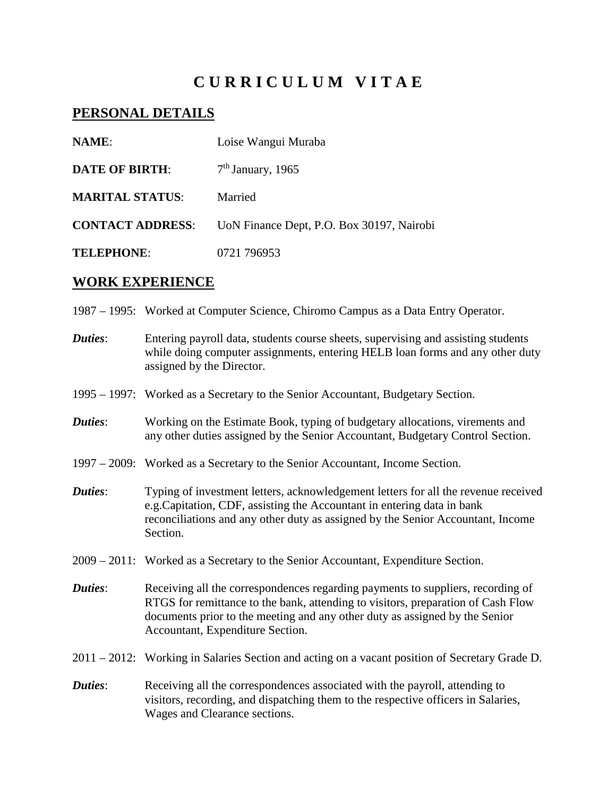# **C U R R I C U L U M V I T A E**

## **PERSONAL DETAILS**

| <b>NAME:</b>            | Loise Wangui Muraba                       |
|-------------------------|-------------------------------------------|
| <b>DATE OF BIRTH:</b>   | $7th$ January, 1965                       |
| <b>MARITAL STATUS:</b>  | Married                                   |
| <b>CONTACT ADDRESS:</b> | UoN Finance Dept, P.O. Box 30197, Nairobi |
| <b>TELEPHONE:</b>       | 0721 796953                               |

### **WORK EXPERIENCE**

- 1987 1995: Worked at Computer Science, Chiromo Campus as a Data Entry Operator.
- *Duties*: Entering payroll data, students course sheets, supervising and assisting students while doing computer assignments, entering HELB loan forms and any other duty assigned by the Director.
- 1995 1997: Worked as a Secretary to the Senior Accountant, Budgetary Section.
- **Duties:** Working on the Estimate Book, typing of budgetary allocations, virements and any other duties assigned by the Senior Accountant, Budgetary Control Section.
- 1997 2009: Worked as a Secretary to the Senior Accountant, Income Section.
- **Duties:** Typing of investment letters, acknowledgement letters for all the revenue received e.g.Capitation, CDF, assisting the Accountant in entering data in bank reconciliations and any other duty as assigned by the Senior Accountant, Income Section.
- 2009 2011: Worked as a Secretary to the Senior Accountant, Expenditure Section.
- *Duties*: Receiving all the correspondences regarding payments to suppliers, recording of RTGS for remittance to the bank, attending to visitors, preparation of Cash Flow documents prior to the meeting and any other duty as assigned by the Senior Accountant, Expenditure Section.
- 2011 2012: Working in Salaries Section and acting on a vacant position of Secretary Grade D.
- *Duties*: Receiving all the correspondences associated with the payroll, attending to visitors, recording, and dispatching them to the respective officers in Salaries, Wages and Clearance sections.